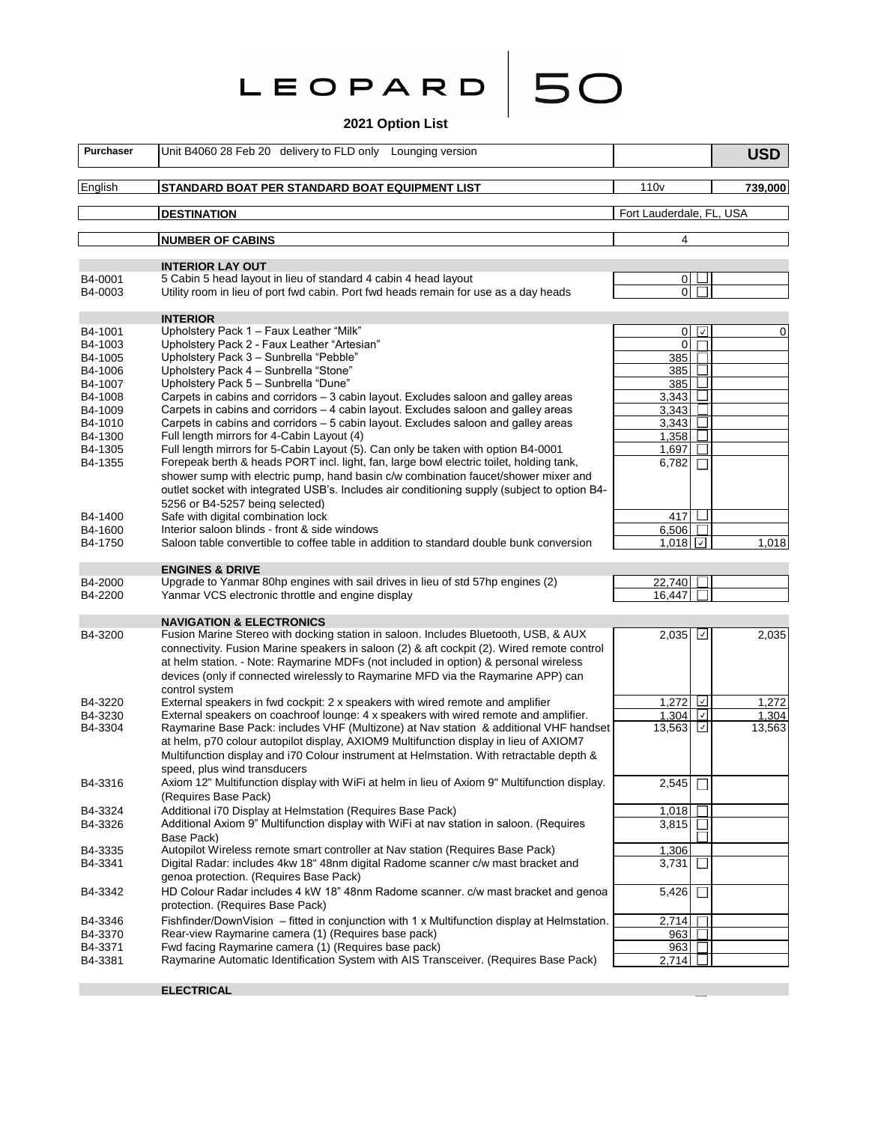|  |  | LEOPARD |  |
|--|--|---------|--|
|  |  |         |  |

# **2021 Option List**

**50** 

| Purchaser          | Unit B4060 28 Feb 20 delivery to FLD only<br>Lounging version                                                                                                                 |                          | <b>USD</b>      |
|--------------------|-------------------------------------------------------------------------------------------------------------------------------------------------------------------------------|--------------------------|-----------------|
| English            | STANDARD BOAT PER STANDARD BOAT EQUIPMENT LIST                                                                                                                                | 110 <sub>v</sub>         | 739,000         |
|                    | <b>DESTINATION</b>                                                                                                                                                            | Fort Lauderdale, FL, USA |                 |
|                    | <b>NUMBER OF CABINS</b>                                                                                                                                                       | 4                        |                 |
|                    |                                                                                                                                                                               |                          |                 |
| B4-0001            | <b>INTERIOR LAY OUT</b><br>5 Cabin 5 head layout in lieu of standard 4 cabin 4 head layout                                                                                    | $\overline{0}$           |                 |
| B4-0003            | Utility room in lieu of port fwd cabin. Port fwd heads remain for use as a day heads                                                                                          | 0 I I                    |                 |
|                    | <b>INTERIOR</b>                                                                                                                                                               |                          |                 |
| B4-1001            | Upholstery Pack 1 - Faux Leather "Milk"                                                                                                                                       | $\overline{0}$           | $\sqrt{2}$<br>0 |
| B4-1003            | Upholstery Pack 2 - Faux Leather "Artesian"                                                                                                                                   | $\mathbf 0$              |                 |
| B4-1005            | Upholstery Pack 3 - Sunbrella "Pebble"                                                                                                                                        | 385                      |                 |
| B4-1006            | Upholstery Pack 4 - Sunbrella "Stone"                                                                                                                                         | 385                      | $\mathsf{L}$    |
| B4-1007            | Upholstery Pack 5 - Sunbrella "Dune"                                                                                                                                          | 385                      | $\perp$         |
| B4-1008            | Carpets in cabins and corridors – 3 cabin layout. Excludes saloon and galley areas                                                                                            | 3,343                    | $\blacksquare$  |
| B4-1009<br>B4-1010 | Carpets in cabins and corridors – 4 cabin layout. Excludes saloon and galley areas<br>Carpets in cabins and corridors – 5 cabin layout. Excludes saloon and galley areas      | 3,343                    |                 |
| B4-1300            | Full length mirrors for 4-Cabin Layout (4)                                                                                                                                    | 3,343<br>1,358           |                 |
| B4-1305            | Full length mirrors for 5-Cabin Layout (5). Can only be taken with option B4-0001                                                                                             | 1,697                    |                 |
| B4-1355            | Forepeak berth & heads PORT incl. light, fan, large bowl electric toilet, holding tank,                                                                                       | 6,782                    |                 |
|                    | shower sump with electric pump, hand basin c/w combination faucet/shower mixer and                                                                                            |                          |                 |
|                    | outlet socket with integrated USB's. Includes air conditioning supply (subject to option B4-                                                                                  |                          |                 |
|                    | 5256 or B4-5257 being selected)                                                                                                                                               |                          |                 |
| B4-1400            | Safe with digital combination lock                                                                                                                                            | 417                      |                 |
| B4-1600            | Interior saloon blinds - front & side windows                                                                                                                                 | 6,506                    |                 |
| B4-1750            | Saloon table convertible to coffee table in addition to standard double bunk conversion                                                                                       | $1.018$    $\vee$        | 1,018           |
|                    | <b>ENGINES &amp; DRIVE</b>                                                                                                                                                    |                          |                 |
| B4-2000            | Upgrade to Yanmar 80hp engines with sail drives in lieu of std 57hp engines (2)                                                                                               | 22,740                   |                 |
| B4-2200            | Yanmar VCS electronic throttle and engine display                                                                                                                             | 16.447                   |                 |
|                    | <b>NAVIGATION &amp; ELECTRONICS</b>                                                                                                                                           |                          |                 |
| B4-3200            | Fusion Marine Stereo with docking station in saloon. Includes Bluetooth, USB, & AUX                                                                                           | 2,035                    | ⊻<br>2,035      |
|                    | connectivity. Fusion Marine speakers in saloon (2) & aft cockpit (2). Wired remote control                                                                                    |                          |                 |
|                    | at helm station. - Note: Raymarine MDFs (not included in option) & personal wireless                                                                                          |                          |                 |
|                    | devices (only if connected wirelessly to Raymarine MFD via the Raymarine APP) can                                                                                             |                          |                 |
|                    | control system                                                                                                                                                                |                          |                 |
| B4-3220            | External speakers in fwd cockpit: 2 x speakers with wired remote and amplifier                                                                                                | 1,272 $\Box$             | 1,272           |
| B4-3230            | External speakers on coachroof lounge: 4 x speakers with wired remote and amplifier.<br>Raymarine Base Pack: includes VHF (Multizone) at Nav station & additional VHF handset | 1,304                    | 1,304<br>⊻      |
| B4-3304            | at helm, p70 colour autopilot display, AXIOM9 Multifunction display in lieu of AXIOM7                                                                                         | 13,563                   | 13,563          |
|                    | Multifunction display and i70 Colour instrument at Helmstation. With retractable depth &                                                                                      |                          |                 |
|                    | speed, plus wind transducers                                                                                                                                                  |                          |                 |
| B4-3316            | Axiom 12" Multifunction display with WiFi at helm in lieu of Axiom 9" Multifunction display.                                                                                  | 2,545                    | $\mathbf{L}$    |
|                    | (Requires Base Pack)                                                                                                                                                          |                          |                 |
| B4-3324            | Additional i70 Display at Helmstation (Requires Base Pack)                                                                                                                    | 1,018                    |                 |
| B4-3326            | Additional Axiom 9" Multifunction display with WiFi at nav station in saloon. (Requires                                                                                       | 3,815                    |                 |
|                    | Base Pack)                                                                                                                                                                    |                          |                 |
| B4-3335            | Autopilot Wireless remote smart controller at Nav station (Requires Base Pack)                                                                                                | 1,306                    |                 |
| B4-3341            | Digital Radar: includes 4kw 18" 48nm digital Radome scanner c/w mast bracket and                                                                                              | 3,731                    |                 |
|                    | genoa protection. (Requires Base Pack)                                                                                                                                        |                          |                 |
| B4-3342            | HD Colour Radar includes 4 kW 18" 48nm Radome scanner. c/w mast bracket and genoa                                                                                             | 5,426                    |                 |
|                    | protection. (Requires Base Pack)                                                                                                                                              |                          |                 |
| B4-3346            | Fishfinder/DownVision - fitted in conjunction with 1 x Multifunction display at Helmstation.                                                                                  | 2,714                    |                 |
| B4-3370            | Rear-view Raymarine camera (1) (Requires base pack)                                                                                                                           | 9631                     |                 |
| B4-3371            | Fwd facing Raymarine camera (1) (Requires base pack)<br>Raymarine Automatic Identification System with AIS Transceiver. (Requires Base Pack)                                  | 963<br>2,714 $\Box$      |                 |
| B4-3381            |                                                                                                                                                                               |                          |                 |

**ELECTRICAL**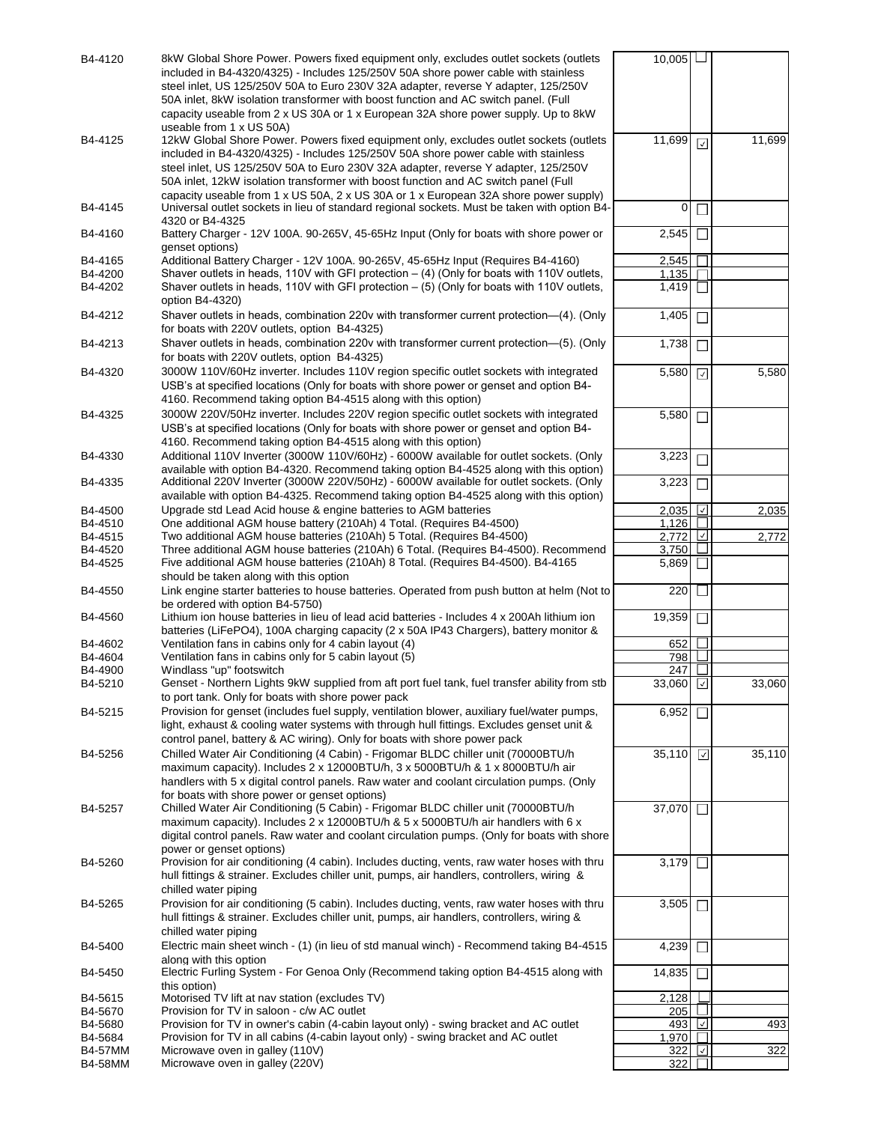| B4-4120            | 8kW Global Shore Power. Powers fixed equipment only, excludes outlet sockets (outlets                                                                                                       | $10,005$       |                |        |
|--------------------|---------------------------------------------------------------------------------------------------------------------------------------------------------------------------------------------|----------------|----------------|--------|
|                    | included in B4-4320/4325) - Includes 125/250V 50A shore power cable with stainless                                                                                                          |                |                |        |
|                    | steel inlet, US 125/250V 50A to Euro 230V 32A adapter, reverse Y adapter, 125/250V                                                                                                          |                |                |        |
|                    | 50A inlet, 8kW isolation transformer with boost function and AC switch panel. (Full                                                                                                         |                |                |        |
|                    | capacity useable from 2 x US 30A or 1 x European 32A shore power supply. Up to 8kW                                                                                                          |                |                |        |
| B4-4125            | useable from 1 x US 50A)<br>12kW Global Shore Power. Powers fixed equipment only, excludes outlet sockets (outlets                                                                          | 11,699         |                | 11,699 |
|                    | included in B4-4320/4325) - Includes 125/250V 50A shore power cable with stainless                                                                                                          |                | ⊡              |        |
|                    | steel inlet, US 125/250V 50A to Euro 230V 32A adapter, reverse Y adapter, 125/250V                                                                                                          |                |                |        |
|                    | 50A inlet, 12kW isolation transformer with boost function and AC switch panel (Full                                                                                                         |                |                |        |
|                    | capacity useable from 1 x US 50A, 2 x US 30A or 1 x European 32A shore power supply)                                                                                                        |                |                |        |
| B4-4145            | Universal outlet sockets in lieu of standard regional sockets. Must be taken with option B4-                                                                                                | 0              |                |        |
|                    | 4320 or B4-4325                                                                                                                                                                             |                |                |        |
| B4-4160            | Battery Charger - 12V 100A. 90-265V, 45-65Hz Input (Only for boats with shore power or                                                                                                      | 2,545          |                |        |
|                    | genset options)                                                                                                                                                                             |                |                |        |
| B4-4165<br>B4-4200 | Additional Battery Charger - 12V 100A. 90-265V, 45-65Hz Input (Requires B4-4160)<br>Shaver outlets in heads, 110V with GFI protection $-$ (4) (Only for boats with 110V outlets,            | 2,545<br>1,135 |                |        |
| B4-4202            | Shaver outlets in heads, 110V with GFI protection $-$ (5) (Only for boats with 110V outlets,                                                                                                | 1,419          |                |        |
|                    | option B4-4320)                                                                                                                                                                             |                |                |        |
| B4-4212            | Shaver outlets in heads, combination 220v with transformer current protection-(4). (Only                                                                                                    | 1,405          |                |        |
|                    | for boats with 220V outlets, option B4-4325)                                                                                                                                                |                |                |        |
| B4-4213            | Shaver outlets in heads, combination 220v with transformer current protection—(5). (Only                                                                                                    | 1,738          |                |        |
|                    | for boats with 220V outlets, option B4-4325)                                                                                                                                                |                |                |        |
| B4-4320            | 3000W 110V/60Hz inverter. Includes 110V region specific outlet sockets with integrated                                                                                                      | 5,580          | ☑              | 5,580  |
|                    | USB's at specified locations (Only for boats with shore power or genset and option B4-                                                                                                      |                |                |        |
|                    | 4160. Recommend taking option B4-4515 along with this option)                                                                                                                               |                |                |        |
| B4-4325            | 3000W 220V/50Hz inverter. Includes 220V region specific outlet sockets with integrated                                                                                                      | 5,580          | П              |        |
|                    | USB's at specified locations (Only for boats with shore power or genset and option B4-                                                                                                      |                |                |        |
|                    | 4160. Recommend taking option B4-4515 along with this option)                                                                                                                               |                |                |        |
| B4-4330            | Additional 110V Inverter (3000W 110V/60Hz) - 6000W available for outlet sockets. (Only                                                                                                      | 3,223          |                |        |
| B4-4335            | available with option B4-4320. Recommend taking option B4-4525 along with this option)<br>Additional 220V Inverter (3000W 220V/50Hz) - 6000W available for outlet sockets. (Only            | 3,223          |                |        |
|                    | available with option B4-4325. Recommend taking option B4-4525 along with this option)                                                                                                      |                |                |        |
| B4-4500            | Upgrade std Lead Acid house & engine batteries to AGM batteries                                                                                                                             | 2,035          | ∣√∣            | 2,035  |
| B4-4510            | One additional AGM house battery (210Ah) 4 Total. (Requires B4-4500)                                                                                                                        | 1,126          |                |        |
| B4-4515            | Two additional AGM house batteries (210Ah) 5 Total. (Requires B4-4500)                                                                                                                      | 2.772          | ⊻              | 2,772  |
| B4-4520            | Three additional AGM house batteries (210Ah) 6 Total. (Requires B4-4500). Recommend                                                                                                         | 3,750          |                |        |
| B4-4525            | Five additional AGM house batteries (210Ah) 8 Total. (Requires B4-4500). B4-4165                                                                                                            | 5,869          |                |        |
|                    | should be taken along with this option                                                                                                                                                      |                |                |        |
| B4-4550            | Link engine starter batteries to house batteries. Operated from push button at helm (Not to<br>be ordered with option B4-5750)                                                              | 220            |                |        |
| B4-4560            | Lithium ion house batteries in lieu of lead acid batteries - Includes 4 x 200Ah lithium ion                                                                                                 | 19,359         | $\perp$        |        |
|                    | batteries (LiFePO4), 100A charging capacity (2 x 50A IP43 Chargers), battery monitor &                                                                                                      |                |                |        |
| B4-4602            | Ventilation fans in cabins only for 4 cabin layout (4)                                                                                                                                      | 652            |                |        |
| B4-4604            | Ventilation fans in cabins only for 5 cabin layout (5)                                                                                                                                      | 798            |                |        |
| B4-4900            | Windlass "up" footswitch                                                                                                                                                                    | 247            |                |        |
| B4-5210            | Genset - Northern Lights 9kW supplied from aft port fuel tank, fuel transfer ability from stb                                                                                               | 33,060         | ⊡              | 33,060 |
|                    | to port tank. Only for boats with shore power pack                                                                                                                                          |                |                |        |
| B4-5215            | Provision for genset (includes fuel supply, ventilation blower, auxiliary fuel/water pumps,                                                                                                 | 6,952          |                |        |
|                    | light, exhaust & cooling water systems with through hull fittings. Excludes genset unit &<br>control panel, battery & AC wiring). Only for boats with shore power pack                      |                |                |        |
|                    | Chilled Water Air Conditioning (4 Cabin) - Frigomar BLDC chiller unit (70000BTU/h                                                                                                           |                |                |        |
| B4-5256            | maximum capacity). Includes 2 x 12000BTU/h, 3 x 5000BTU/h & 1 x 8000BTU/h air                                                                                                               | 35,110         | $\overline{ }$ | 35,110 |
|                    | handlers with 5 x digital control panels. Raw water and coolant circulation pumps. (Only                                                                                                    |                |                |        |
|                    | for boats with shore power or genset options)                                                                                                                                               |                |                |        |
| B4-5257            | Chilled Water Air Conditioning (5 Cabin) - Frigomar BLDC chiller unit (70000BTU/h                                                                                                           | 37,070         | I.             |        |
|                    | maximum capacity). Includes 2 x 12000BTU/h & 5 x 5000BTU/h air handlers with 6 x                                                                                                            |                |                |        |
|                    | digital control panels. Raw water and coolant circulation pumps. (Only for boats with shore                                                                                                 |                |                |        |
|                    | power or genset options)                                                                                                                                                                    |                |                |        |
| B4-5260            | Provision for air conditioning (4 cabin). Includes ducting, vents, raw water hoses with thru                                                                                                | 3,179          | $\Box$         |        |
|                    | hull fittings & strainer. Excludes chiller unit, pumps, air handlers, controllers, wiring &                                                                                                 |                |                |        |
|                    | chilled water piping                                                                                                                                                                        |                |                |        |
| B4-5265            | Provision for air conditioning (5 cabin). Includes ducting, vents, raw water hoses with thru<br>hull fittings & strainer. Excludes chiller unit, pumps, air handlers, controllers, wiring & | 3,505          |                |        |
|                    | chilled water piping                                                                                                                                                                        |                |                |        |
| B4-5400            | Electric main sheet winch - (1) (in lieu of std manual winch) - Recommend taking B4-4515                                                                                                    | 4,239          |                |        |
|                    | along with this option                                                                                                                                                                      |                |                |        |
| B4-5450            | Electric Furling System - For Genoa Only (Recommend taking option B4-4515 along with                                                                                                        | 14,835         |                |        |
|                    | this option)                                                                                                                                                                                |                |                |        |
| B4-5615            | Motorised TV lift at nav station (excludes TV)                                                                                                                                              | 2,128          |                |        |
| B4-5670<br>B4-5680 | Provision for TV in saloon - c/w AC outlet<br>Provision for TV in owner's cabin (4-cabin layout only) - swing bracket and AC outlet                                                         | 205<br>493     | ⊡              | 493    |
| B4-5684            | Provision for TV in all cabins (4-cabin layout only) - swing bracket and AC outlet                                                                                                          | 1,970          |                |        |
| <b>B4-57MM</b>     | Microwave oven in galley (110V)                                                                                                                                                             | 322            | M              | 322    |
| <b>B4-58MM</b>     | Microwave oven in galley (220V)                                                                                                                                                             | 322            |                |        |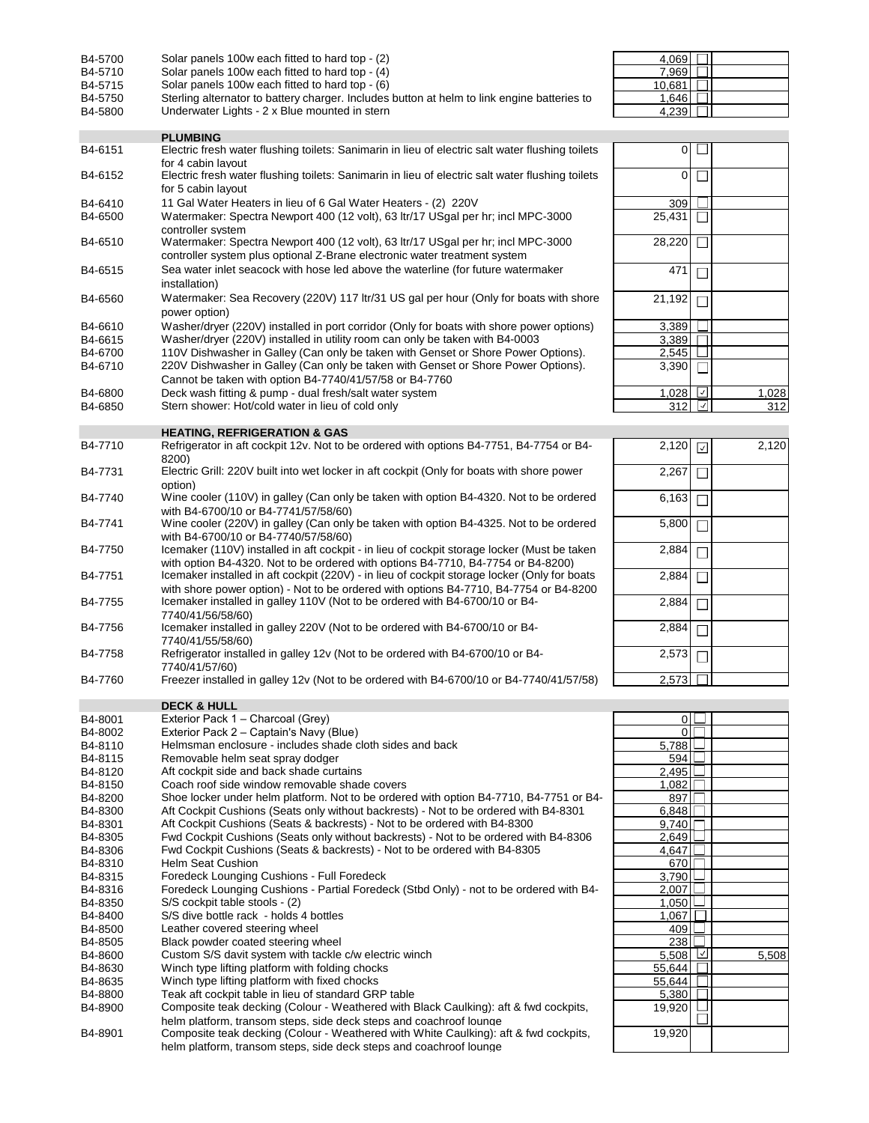| B4-5700 | Solar panels 100w each fitted to hard top - (2)                                                                                                    | 4,069          |                   |       |
|---------|----------------------------------------------------------------------------------------------------------------------------------------------------|----------------|-------------------|-------|
| B4-5710 | Solar panels 100w each fitted to hard top - (4)                                                                                                    | 7,969          |                   |       |
| B4-5715 | Solar panels 100w each fitted to hard top - (6)                                                                                                    | 10,681         |                   |       |
| B4-5750 | Sterling alternator to battery charger. Includes button at helm to link engine batteries to                                                        | 1,646          |                   |       |
| B4-5800 | Underwater Lights - 2 x Blue mounted in stern                                                                                                      | 4.239          |                   |       |
|         |                                                                                                                                                    |                |                   |       |
|         | <b>PLUMBING</b>                                                                                                                                    |                |                   |       |
| B4-6151 | Electric fresh water flushing toilets: Sanimarin in lieu of electric salt water flushing toilets                                                   | $\overline{0}$ |                   |       |
| B4-6152 | for 4 cabin lavout<br>Electric fresh water flushing toilets: Sanimarin in lieu of electric salt water flushing toilets                             | 0              |                   |       |
|         | for 5 cabin layout                                                                                                                                 |                |                   |       |
|         |                                                                                                                                                    |                |                   |       |
| B4-6410 | 11 Gal Water Heaters in lieu of 6 Gal Water Heaters - (2) 220V<br>Watermaker: Spectra Newport 400 (12 volt), 63 ltr/17 USgal per hr; incl MPC-3000 | 309            |                   |       |
| B4-6500 |                                                                                                                                                    | 25,431         |                   |       |
| B4-6510 | controller system<br>Watermaker: Spectra Newport 400 (12 volt), 63 ltr/17 USgal per hr; incl MPC-3000                                              | 28,220         |                   |       |
|         | controller system plus optional Z-Brane electronic water treatment system                                                                          |                |                   |       |
|         |                                                                                                                                                    |                |                   |       |
| B4-6515 | Sea water inlet seacock with hose led above the waterline (for future watermaker                                                                   | 471            |                   |       |
|         | installation)                                                                                                                                      |                |                   |       |
| B4-6560 | Watermaker: Sea Recovery (220V) 117 ltr/31 US gal per hour (Only for boats with shore                                                              | 21,192         |                   |       |
|         | power option)                                                                                                                                      |                |                   |       |
| B4-6610 | Washer/dryer (220V) installed in port corridor (Only for boats with shore power options)                                                           | 3,389          |                   |       |
| B4-6615 | Washer/dryer (220V) installed in utility room can only be taken with B4-0003                                                                       | 3.389          |                   |       |
| B4-6700 | 110V Dishwasher in Galley (Can only be taken with Genset or Shore Power Options).                                                                  | 2,545          |                   |       |
| B4-6710 | 220V Dishwasher in Galley (Can only be taken with Genset or Shore Power Options).                                                                  | 3,390          |                   |       |
|         | Cannot be taken with option B4-7740/41/57/58 or B4-7760                                                                                            |                |                   |       |
| B4-6800 | Deck wash fitting & pump - dual fresh/salt water system                                                                                            | 1,028          | ⊻                 | 1,028 |
| B4-6850 | Stern shower: Hot/cold water in lieu of cold only                                                                                                  | 312            | ∣√∣               | 312   |
|         |                                                                                                                                                    |                |                   |       |
|         | <b>HEATING, REFRIGERATION &amp; GAS</b>                                                                                                            |                |                   |       |
| B4-7710 | Refrigerator in aft cockpit 12v. Not to be ordered with options B4-7751, B4-7754 or B4-                                                            | 2,120          | $\overline{\vee}$ | 2,120 |
|         | 8200)                                                                                                                                              |                |                   |       |
| B4-7731 | Electric Grill: 220V built into wet locker in aft cockpit (Only for boats with shore power                                                         | 2,267          |                   |       |
|         | option)                                                                                                                                            |                |                   |       |
| B4-7740 | Wine cooler (110V) in galley (Can only be taken with option B4-4320. Not to be ordered                                                             | 6,163          |                   |       |
|         | with B4-6700/10 or B4-7741/57/58/60)                                                                                                               |                |                   |       |
| B4-7741 | Wine cooler (220V) in galley (Can only be taken with option B4-4325. Not to be ordered                                                             | 5,800          |                   |       |
|         | with B4-6700/10 or B4-7740/57/58/60)                                                                                                               |                |                   |       |
| B4-7750 | Icemaker (110V) installed in aft cockpit - in lieu of cockpit storage locker (Must be taken                                                        | 2,884          |                   |       |
|         | with option B4-4320. Not to be ordered with options B4-7710, B4-7754 or B4-8200)                                                                   |                |                   |       |
| B4-7751 | Icemaker installed in aft cockpit (220V) - in lieu of cockpit storage locker (Only for boats                                                       | 2,884          |                   |       |
|         | with shore power option) - Not to be ordered with options B4-7710, B4-7754 or B4-8200                                                              |                |                   |       |
| B4-7755 | Icemaker installed in galley 110V (Not to be ordered with B4-6700/10 or B4-                                                                        | 2,884          |                   |       |
|         | 7740/41/56/58/60)                                                                                                                                  |                |                   |       |
| B4-7756 | Icemaker installed in galley 220V (Not to be ordered with B4-6700/10 or B4-                                                                        | 2,884          |                   |       |
|         | 7740/41/55/58/60)                                                                                                                                  |                |                   |       |
| B4-7758 | Refrigerator installed in galley 12v (Not to be ordered with B4-6700/10 or B4-                                                                     | 2,573          |                   |       |
|         | 7740/41/57/60)                                                                                                                                     | 2,573          |                   |       |
| B4-7760 | Freezer installed in galley 12v (Not to be ordered with B4-6700/10 or B4-7740/41/57/58)                                                            |                |                   |       |
|         | <b>DECK &amp; HULL</b>                                                                                                                             |                |                   |       |
| B4-8001 | Exterior Pack 1 - Charcoal (Grey)                                                                                                                  | οII            |                   |       |
| B4-8002 | Exterior Pack 2 - Captain's Navy (Blue)                                                                                                            | $\Omega$       |                   |       |
| B4-8110 | Helmsman enclosure - includes shade cloth sides and back                                                                                           | 5,788          |                   |       |
| B4-8115 | Removable helm seat spray dodger                                                                                                                   | 594            |                   |       |
| B4-8120 | Aft cockpit side and back shade curtains                                                                                                           | 2,495          |                   |       |
| B4-8150 | Coach roof side window removable shade covers                                                                                                      | 1,082          |                   |       |
| B4-8200 | Shoe locker under helm platform. Not to be ordered with option B4-7710, B4-7751 or B4-                                                             | 897            |                   |       |
| B4-8300 | Aft Cockpit Cushions (Seats only without backrests) - Not to be ordered with B4-8301                                                               | 6,848          |                   |       |
| B4-8301 | Aft Cockpit Cushions (Seats & backrests) - Not to be ordered with B4-8300                                                                          | 9,740          |                   |       |
| B4-8305 | Fwd Cockpit Cushions (Seats only without backrests) - Not to be ordered with B4-8306                                                               | 2,649          |                   |       |
| B4-8306 | Fwd Cockpit Cushions (Seats & backrests) - Not to be ordered with B4-8305                                                                          | 4,647          |                   |       |
| B4-8310 | <b>Helm Seat Cushion</b>                                                                                                                           | 670            |                   |       |
| B4-8315 | Foredeck Lounging Cushions - Full Foredeck                                                                                                         | 3,790          |                   |       |
| B4-8316 | Foredeck Lounging Cushions - Partial Foredeck (Stbd Only) - not to be ordered with B4-                                                             | 2,007          |                   |       |
| B4-8350 | S/S cockpit table stools - (2)                                                                                                                     | 1,050          |                   |       |
| B4-8400 | S/S dive bottle rack - holds 4 bottles                                                                                                             | 1,067          |                   |       |
| B4-8500 | Leather covered steering wheel                                                                                                                     | 409            |                   |       |
| B4-8505 | Black powder coated steering wheel                                                                                                                 | 238            |                   |       |
| B4-8600 | Custom S/S davit system with tackle c/w electric winch                                                                                             | 5,508          | ⊻                 | 5,508 |
| B4-8630 | Winch type lifting platform with folding chocks                                                                                                    | 55,644         |                   |       |
| B4-8635 | Winch type lifting platform with fixed chocks                                                                                                      | 55,644         |                   |       |
| B4-8800 | Teak aft cockpit table in lieu of standard GRP table                                                                                               | 5,380          |                   |       |
| B4-8900 | Composite teak decking (Colour - Weathered with Black Caulking): aft & fwd cockpits,                                                               | 19,920         |                   |       |
|         | helm platform, transom steps, side deck steps and coachroof lounge                                                                                 |                |                   |       |
| B4-8901 | Composite teak decking (Colour - Weathered with White Caulking): aft & fwd cockpits,                                                               | 19,920         |                   |       |
|         | helm platform, transom steps, side deck steps and coachroof lounge                                                                                 |                |                   |       |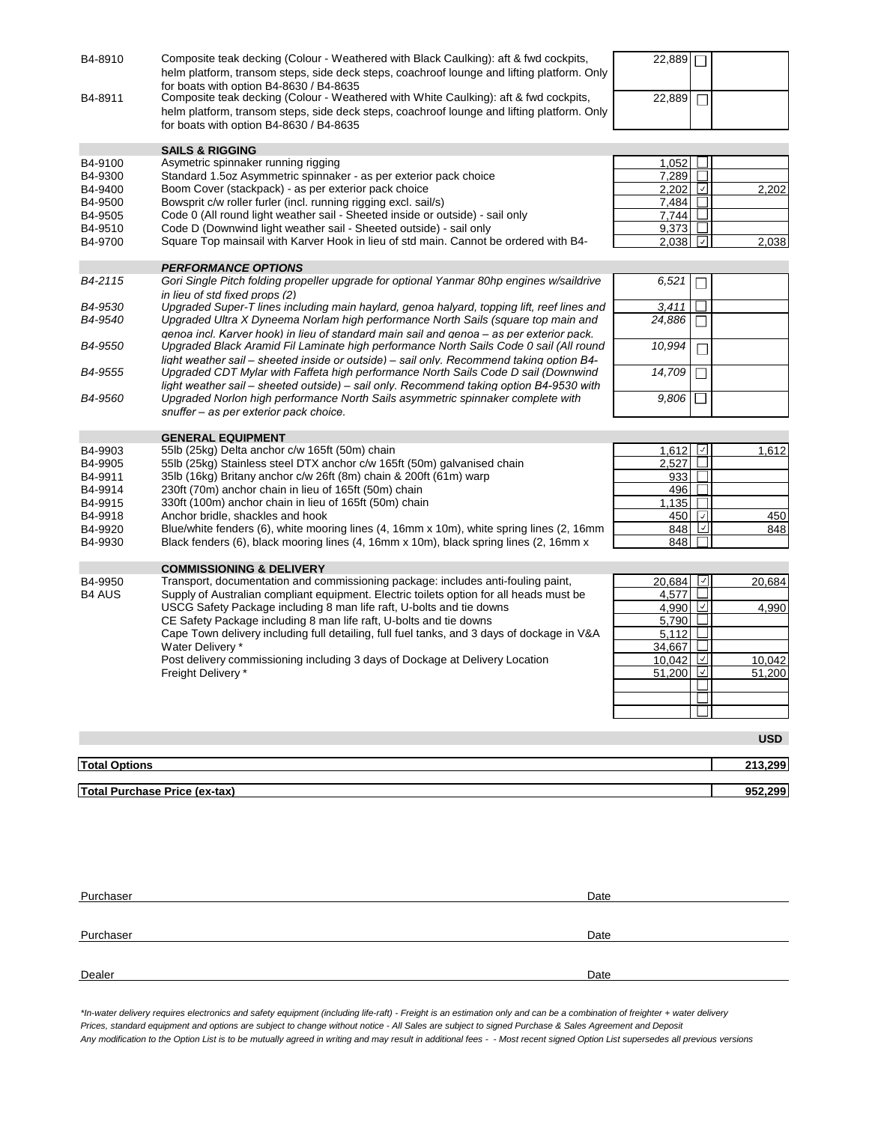| B4-8910              | Composite teak decking (Colour - Weathered with Black Caulking): aft & fwd cockpits,<br>helm platform, transom steps, side deck steps, coachroof lounge and lifting platform. Only<br>for boats with option B4-8630 / B4-8635 | 22,889 |                 |            |
|----------------------|-------------------------------------------------------------------------------------------------------------------------------------------------------------------------------------------------------------------------------|--------|-----------------|------------|
| B4-8911              | Composite teak decking (Colour - Weathered with White Caulking): aft & fwd cockpits,<br>helm platform, transom steps, side deck steps, coachroof lounge and lifting platform. Only<br>for boats with option B4-8630 / B4-8635 | 22,889 |                 |            |
|                      | <b>SAILS &amp; RIGGING</b>                                                                                                                                                                                                    |        |                 |            |
| B4-9100              | Asymetric spinnaker running rigging                                                                                                                                                                                           | 1,052  |                 |            |
| B4-9300              | Standard 1.5oz Asymmetric spinnaker - as per exterior pack choice                                                                                                                                                             | 7,289  |                 |            |
| B4-9400              | Boom Cover (stackpack) - as per exterior pack choice                                                                                                                                                                          | 2.202  | ∣√∣             | 2,202      |
| B4-9500              | Bowsprit c/w roller furler (incl. running rigging excl. sail/s)                                                                                                                                                               | 7,484  |                 |            |
| B4-9505              | Code 0 (All round light weather sail - Sheeted inside or outside) - sail only                                                                                                                                                 | 7.744  |                 |            |
| B4-9510              | Code D (Downwind light weather sail - Sheeted outside) - sail only                                                                                                                                                            | 9,373  |                 |            |
| B4-9700              | Square Top mainsail with Karver Hook in lieu of std main. Cannot be ordered with B4-                                                                                                                                          | 2,038  | $ \cdot $       | 2,038      |
|                      | <b>PERFORMANCE OPTIONS</b>                                                                                                                                                                                                    |        |                 |            |
| B4-2115              | Gori Single Pitch folding propeller upgrade for optional Yanmar 80hp engines w/saildrive<br>in lieu of std fixed props (2)                                                                                                    | 6,521  |                 |            |
| B4-9530              | Upgraded Super-T lines including main haylard, genoa halyard, topping lift, reef lines and                                                                                                                                    | 3,411  |                 |            |
| B4-9540              | Upgraded Ultra X Dyneema Norlam high performance North Sails (square top main and<br>genoa incl. Karver hook) in lieu of standard main sail and genoa - as per exterior pack.                                                 | 24,886 |                 |            |
| B4-9550              | Upgraded Black Aramid Fil Laminate high performance North Sails Code 0 sail (All round                                                                                                                                        | 10,994 |                 |            |
| B4-9555              | light weather sail - sheeted inside or outside) - sail only. Recommend taking option B4-<br>Upgraded CDT Mylar with Faffeta high performance North Sails Code D sail (Downwind                                                | 14,709 |                 |            |
| B4-9560              | light weather sail – sheeted outside) – sail only. Recommend taking option B4-9530 with<br>Upgraded Norlon high performance North Sails asymmetric spinnaker complete with                                                    | 9,806  |                 |            |
|                      | snuffer – as per exterior pack choice.                                                                                                                                                                                        |        |                 |            |
| B4-9903              | <b>GENERAL EQUIPMENT</b><br>55lb (25kg) Delta anchor c/w 165ft (50m) chain                                                                                                                                                    | 1,612  | $\vee$          | 1,612      |
| B4-9905              | 55lb (25kg) Stainless steel DTX anchor c/w 165ft (50m) galvanised chain                                                                                                                                                       | 2,527  |                 |            |
| B4-9911              | 35lb (16kg) Britany anchor c/w 26ft (8m) chain & 200ft (61m) warp                                                                                                                                                             | 933    |                 |            |
| B4-9914              | 230ft (70m) anchor chain in lieu of 165ft (50m) chain                                                                                                                                                                         | 496    |                 |            |
| B4-9915              | 330ft (100m) anchor chain in lieu of 165ft (50m) chain                                                                                                                                                                        | 1,135  |                 |            |
| B4-9918              | Anchor bridle, shackles and hook                                                                                                                                                                                              | 450    | ∣✓              | 450        |
| B4-9920              | Blue/white fenders (6), white mooring lines (4, 16mm x 10m), white spring lines (2, 16mm                                                                                                                                      | 848    | ⊻               | 848        |
| B4-9930              | Black fenders (6), black mooring lines (4, 16mm x 10m), black spring lines (2, 16mm x                                                                                                                                         | 848    |                 |            |
|                      | <b>COMMISSIONING &amp; DELIVERY</b>                                                                                                                                                                                           |        |                 |            |
| B4-9950              | Transport, documentation and commissioning package: includes anti-fouling paint,                                                                                                                                              | 20,684 | $ \mathcal{I} $ | 20,684     |
| <b>B4 AUS</b>        | Supply of Australian compliant equipment. Electric toilets option for all heads must be                                                                                                                                       | 4,577  |                 |            |
|                      | USCG Safety Package including 8 man life raft, U-bolts and tie downs                                                                                                                                                          | 4,990  | ⊻               | 4,990      |
|                      | CE Safety Package including 8 man life raft, U-bolts and tie downs                                                                                                                                                            | 5,790  |                 |            |
|                      | Cape Town delivery including full detailing, full fuel tanks, and 3 days of dockage in V&A                                                                                                                                    | 5,112  |                 |            |
|                      | Water Delivery*                                                                                                                                                                                                               | 34,667 |                 |            |
|                      | Post delivery commissioning including 3 days of Dockage at Delivery Location                                                                                                                                                  | 10,042 | ⊻               | 10.042     |
|                      | Freight Delivery *                                                                                                                                                                                                            | 51,200 | M               | 51,200     |
|                      |                                                                                                                                                                                                                               |        |                 |            |
|                      |                                                                                                                                                                                                                               |        |                 |            |
|                      |                                                                                                                                                                                                                               |        |                 |            |
|                      |                                                                                                                                                                                                                               |        |                 | <b>USD</b> |
| <b>Total Options</b> |                                                                                                                                                                                                                               |        |                 | 213,299    |
|                      | <b>Total Purchase Price (ex-tax)</b>                                                                                                                                                                                          |        |                 | 952,299    |

| Purchaser | Date |
|-----------|------|
|           |      |
|           |      |
| Purchaser | Date |
|           |      |
|           |      |
| Dealer    | Date |
|           |      |

*\*In-water delivery requires electronics and safety equipment (including life-raft) - Freight is an estimation only and can be a combination of freighter + water delivery Prices, standard equipment and options are subject to change without notice - All Sales are subject to signed Purchase & Sales Agreement and Deposit Any modification to the Option List is to be mutually agreed in writing and may result in additional fees - - Most recent signed Option List supersedes all previous versions*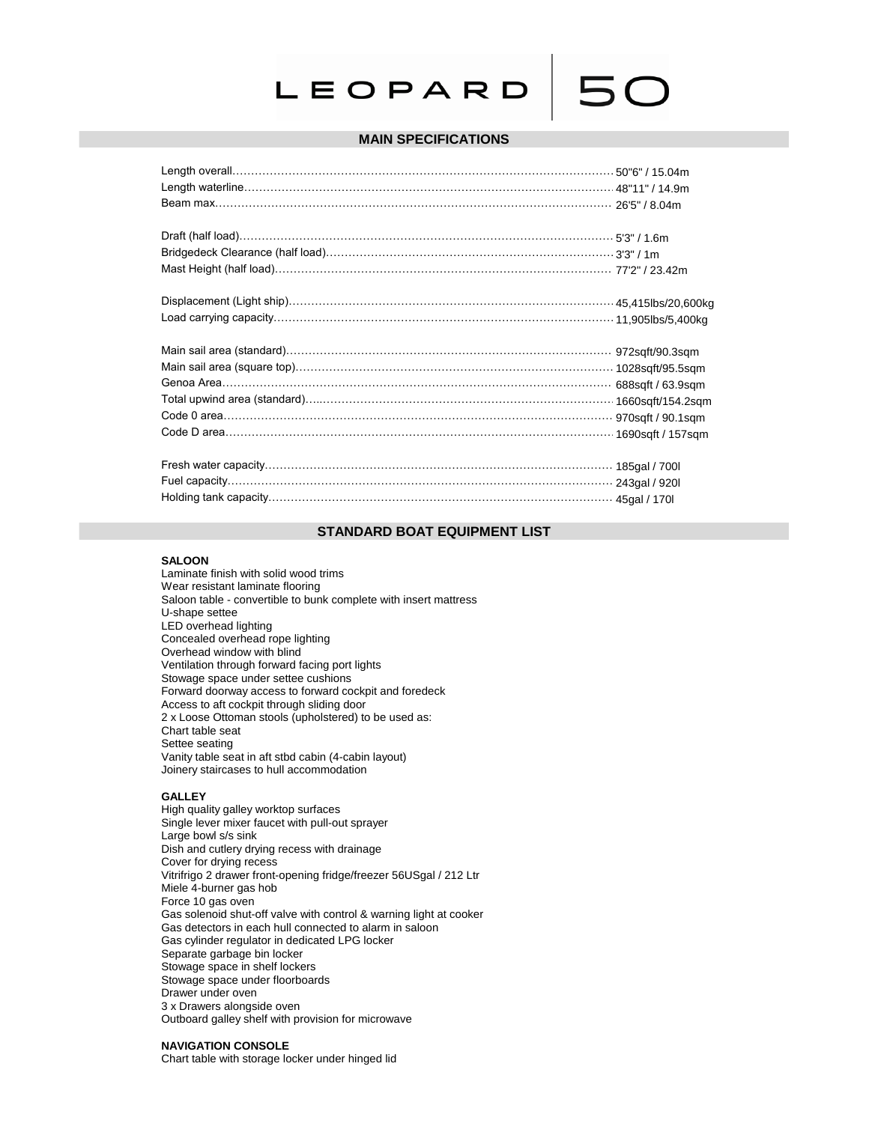# LEOPARD

# **MAIN SPECIFICATIONS**

# **STANDARD BOAT EQUIPMENT LIST**

### **SALOON**

Laminate finish with solid wood trims Wear resistant laminate flooring Saloon table - convertible to bunk complete with insert mattress U-shape settee LED overhead lighting Concealed overhead rope lighting Overhead window with blind Ventilation through forward facing port lights Stowage space under settee cushions Forward doorway access to forward cockpit and foredeck Access to aft cockpit through sliding door 2 x Loose Ottoman stools (upholstered) to be used as: Chart table seat Settee seating Vanity table seat in aft stbd cabin (4-cabin layout) Joinery staircases to hull accommodation

# **GALLEY**

High quality galley worktop surfaces Single lever mixer faucet with pull-out sprayer Large bowl s/s sink Dish and cutlery drying recess with drainage Cover for drying recess Vitrifrigo 2 drawer front-opening fridge/freezer 56USgal / 212 Ltr Miele 4-burner gas hob Force 10 gas oven Gas solenoid shut-off valve with control & warning light at cooker Gas detectors in each hull connected to alarm in saloon Gas cylinder regulator in dedicated LPG locker Separate garbage bin locker Stowage space in shelf lockers Stowage space under floorboards Drawer under oven 3 x Drawers alongside oven Outboard galley shelf with provision for microwave

# **NAVIGATION CONSOLE**

Chart table with storage locker under hinged lid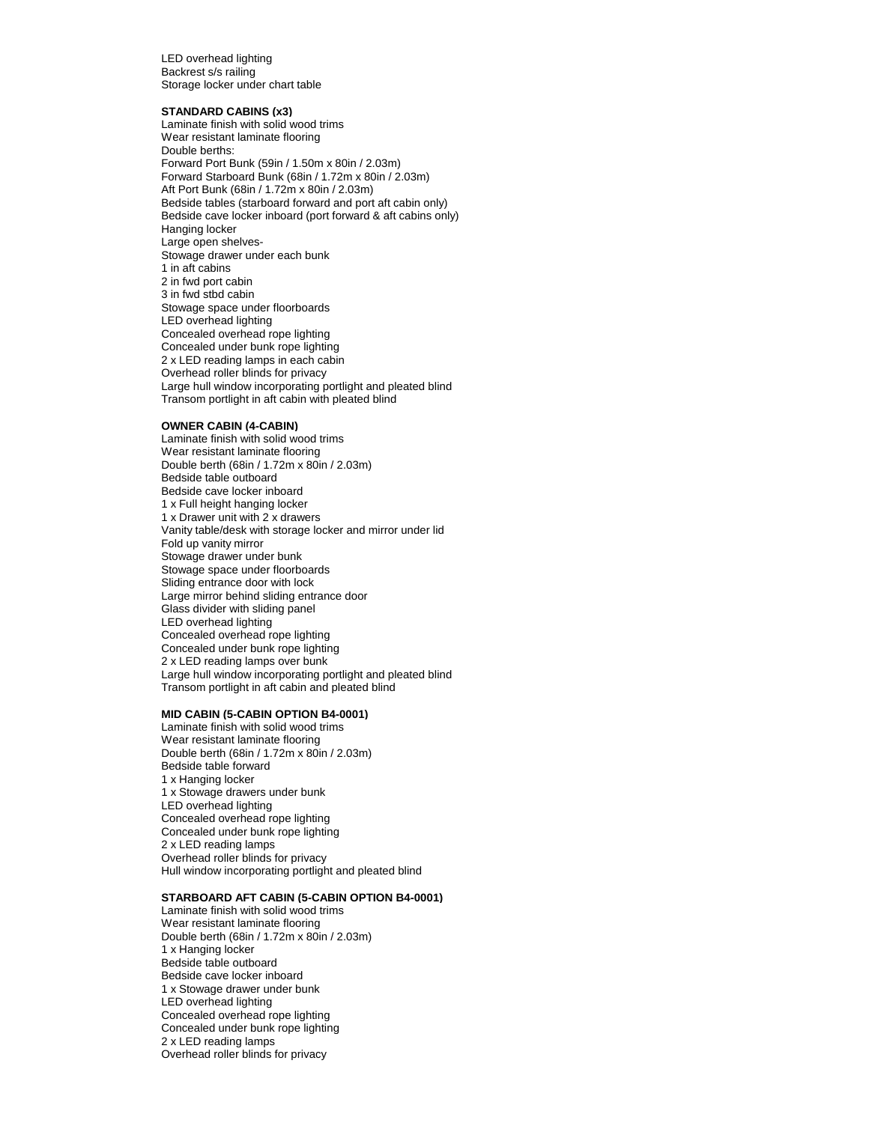LED overhead lighting Backrest s/s railing Storage locker under chart table

### **STANDARD CABINS (x3)**

Laminate finish with solid wood trims Wear resistant laminate flooring Double berths: Forward Port Bunk (59in / 1.50m x 80in / 2.03m) Forward Starboard Bunk (68in / 1.72m x 80in / 2.03m) Aft Port Bunk (68in / 1.72m x 80in / 2.03m) Bedside tables (starboard forward and port aft cabin only) Bedside cave locker inboard (port forward & aft cabins only) Hanging locker Large open shelves-Stowage drawer under each bunk 1 in aft cabins 2 in fwd port cabin 3 in fwd stbd cabin Stowage space under floorboards LED overhead lighting Concealed overhead rope lighting Concealed under bunk rope lighting 2 x LED reading lamps in each cabin Overhead roller blinds for privacy Large hull window incorporating portlight and pleated blind Transom portlight in aft cabin with pleated blind

#### **OWNER CABIN (4-CABIN)**

Laminate finish with solid wood trims Wear resistant laminate flooring Double berth (68in / 1.72m x 80in / 2.03m) Bedside table outboard Bedside cave locker inboard 1 x Full height hanging locker 1 x Drawer unit with 2 x drawers Vanity table/desk with storage locker and mirror under lid Fold up vanity mirror Stowage drawer under bunk Stowage space under floorboards Sliding entrance door with lock Large mirror behind sliding entrance door Glass divider with sliding panel LED overhead lighting Concealed overhead rope lighting Concealed under bunk rope lighting 2 x LED reading lamps over bunk Large hull window incorporating portlight and pleated blind Transom portlight in aft cabin and pleated blind

#### **MID CABIN (5-CABIN OPTION B4-0001)**

Laminate finish with solid wood trims Wear resistant laminate flooring Double berth (68in / 1.72m x 80in / 2.03m) Bedside table forward 1 x Hanging locker 1 x Stowage drawers under bunk LED overhead lighting Concealed overhead rope lighting Concealed under bunk rope lighting 2 x LED reading lamps Overhead roller blinds for privacy Hull window incorporating portlight and pleated blind

# **STARBOARD AFT CABIN (5-CABIN OPTION B4-0001)**

Laminate finish with solid wood trims Wear resistant laminate flooring Double berth (68in / 1.72m x 80in / 2.03m) 1 x Hanging locker Bedside table outboard Bedside cave locker inboard 1 x Stowage drawer under bunk LED overhead lighting Concealed overhead rope lighting Concealed under bunk rope lighting 2 x LED reading lamps Overhead roller blinds for privacy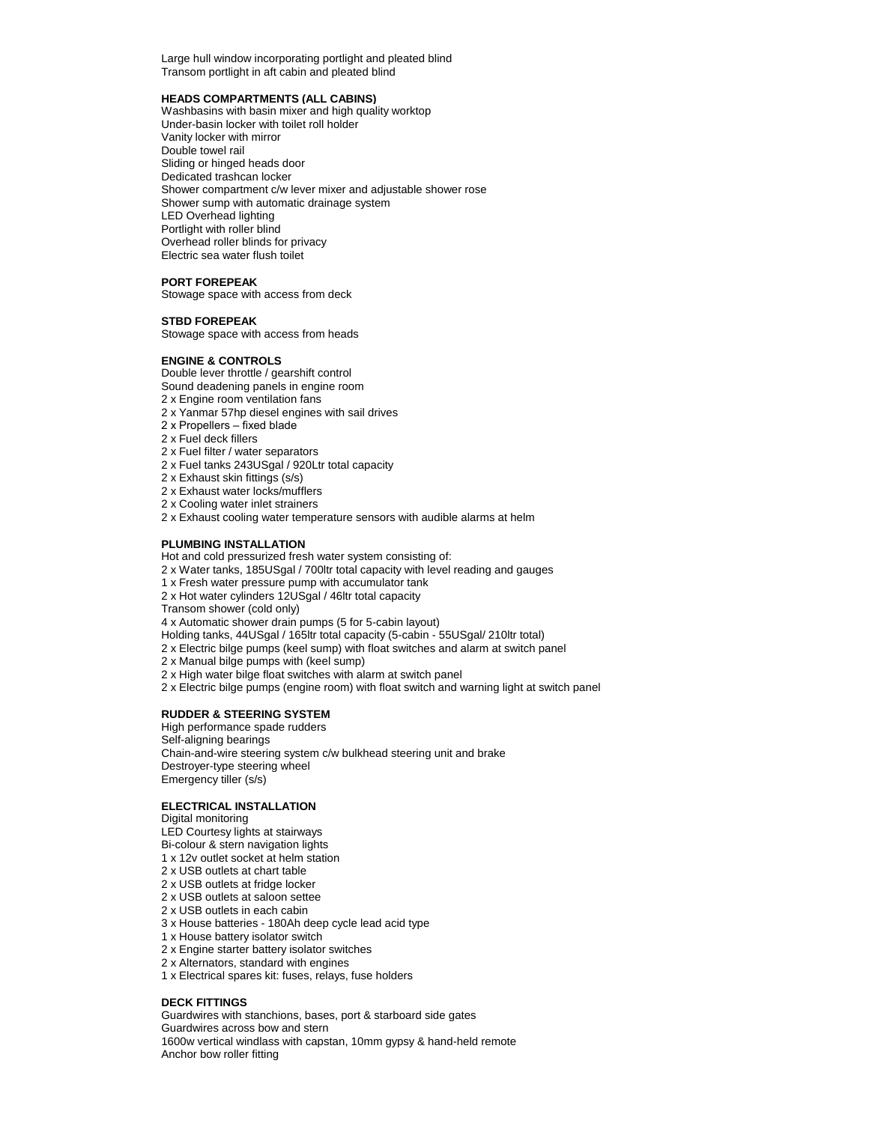Large hull window incorporating portlight and pleated blind Transom portlight in aft cabin and pleated blind

## **HEADS COMPARTMENTS (ALL CABINS)**

Washbasins with basin mixer and high quality worktop Under-basin locker with toilet roll holder Vanity locker with mirror Double towel rail Sliding or hinged heads door Dedicated trashcan locker Shower compartment c/w lever mixer and adjustable shower rose Shower sump with automatic drainage system LED Overhead lighting Portlight with roller blind Overhead roller blinds for privacy Electric sea water flush toilet

# **PORT FOREPEAK**

Stowage space with access from deck

# **STBD FOREPEAK**

Stowage space with access from heads

# **ENGINE & CONTROLS**

Double lever throttle / gearshift control

- Sound deadening panels in engine room
- 2 x Engine room ventilation fans
- 2 x Yanmar 57hp diesel engines with sail drives
- 2 x Propellers fixed blade
- 2 x Fuel deck fillers
- 2 x Fuel filter / water separators
- 2 x Fuel tanks 243USgal / 920Ltr total capacity
- 2 x Exhaust skin fittings (s/s)
- 2 x Exhaust water locks/mufflers
- 2 x Cooling water inlet strainers
- 2 x Exhaust cooling water temperature sensors with audible alarms at helm

# **PLUMBING INSTALLATION**

Hot and cold pressurized fresh water system consisting of:

- 2 x Water tanks, 185USgal / 700ltr total capacity with level reading and gauges
- 1 x Fresh water pressure pump with accumulator tank
- 2 x Hot water cylinders 12USgal / 46ltr total capacity

Transom shower (cold only)

4 x Automatic shower drain pumps (5 for 5-cabin layout)

- Holding tanks, 44USgal / 165ltr total capacity (5-cabin 55USgal/ 210ltr total)
- 2 x Electric bilge pumps (keel sump) with float switches and alarm at switch panel

2 x Manual bilge pumps with (keel sump)

2 x High water bilge float switches with alarm at switch panel

2 x Electric bilge pumps (engine room) with float switch and warning light at switch panel

# **RUDDER & STEERING SYSTEM**

High performance spade rudders Self-aligning bearings Chain-and-wire steering system c/w bulkhead steering unit and brake Destroyer-type steering wheel Emergency tiller (s/s)

# **ELECTRICAL INSTALLATION**

Digital monitoring LED Courtesy lights at stairways Bi-colour & stern navigation lights 1 x 12v outlet socket at helm station

- 2 x USB outlets at chart table
- 2 x USB outlets at fridge locker
- 2 x USB outlets at saloon settee
- 2 x USB outlets in each cabin
- 3 x House batteries 180Ah deep cycle lead acid type
- 1 x House battery isolator switch
- 2 x Engine starter battery isolator switches
- 2 x Alternators, standard with engines
- 1 x Electrical spares kit: fuses, relays, fuse holders

# **DECK FITTINGS**

Guardwires with stanchions, bases, port & starboard side gates Guardwires across bow and stern 1600w vertical windlass with capstan, 10mm gypsy & hand-held remote Anchor bow roller fitting